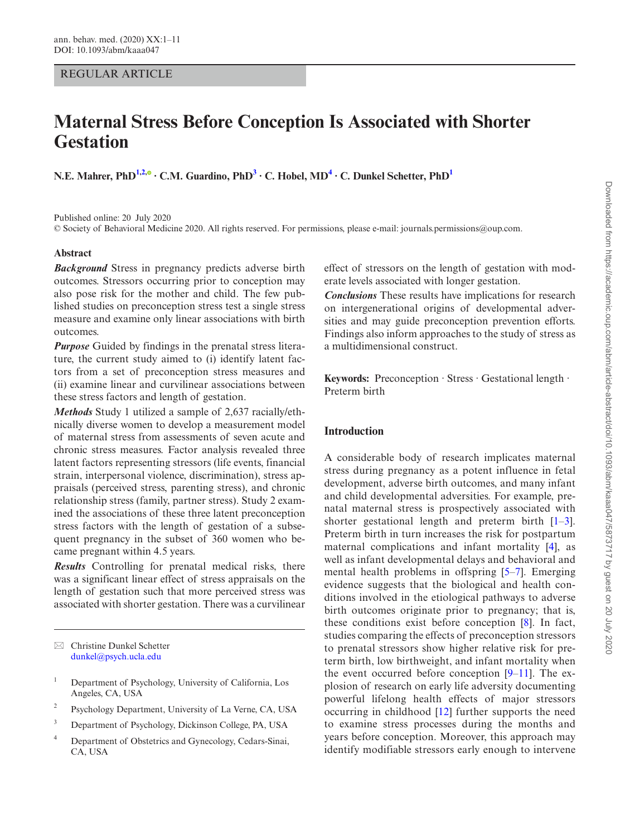# REGULAR ARTICLE

# **Maternal Stress Before Conception Is Associated with Shorter Gestation**

**N.E. Mahrer, PhD[1](#page-0-0),[2](#page-0-1)[,](http://orcid.org/0000-0002-6677-3263) ∙ C.M. Guardino, Ph[D3](#page-0-2) ∙ C. Hobel, MD[4](#page-0-3) ∙ C. Dunkel Schetter, Ph[D1](#page-0-0)**

Published online: 20 July 2020

© Society of Behavioral Medicine 2020. All rights reserved. For permissions, please e-mail: journals.permissions@oup.com.

# **Abstract**

*Background* Stress in pregnancy predicts adverse birth outcomes. Stressors occurring prior to conception may also pose risk for the mother and child. The few published studies on preconception stress test a single stress measure and examine only linear associations with birth outcomes.

*Purpose* Guided by findings in the prenatal stress literature, the current study aimed to (i) identify latent factors from a set of preconception stress measures and (ii) examine linear and curvilinear associations between these stress factors and length of gestation.

*Methods* Study 1 utilized a sample of 2,637 racially/ethnically diverse women to develop a measurement model of maternal stress from assessments of seven acute and chronic stress measures. Factor analysis revealed three latent factors representing stressors (life events, financial strain, interpersonal violence, discrimination), stress appraisals (perceived stress, parenting stress), and chronic relationship stress (family, partner stress). Study 2 examined the associations of these three latent preconception stress factors with the length of gestation of a subsequent pregnancy in the subset of 360 women who became pregnant within 4.5 years.

*Results* Controlling for prenatal medical risks, there was a significant linear effect of stress appraisals on the length of gestation such that more perceived stress was associated with shorter gestation. There was a curvilinear

 Christine Dunkel Schetter [dunkel@psych.ucla.edu](mailto:dunkel@psych.ucla.edu?subject=)

- <span id="page-0-0"></span><sup>1</sup> Department of Psychology, University of California, Los Angeles, CA, USA
- <span id="page-0-1"></span><sup>2</sup> Psychology Department, University of La Verne, CA, USA
- <span id="page-0-2"></span><sup>3</sup> Department of Psychology, Dickinson College, PA, USA
- <span id="page-0-3"></span><sup>4</sup> Department of Obstetrics and Gynecology, Cedars-Sinai, CA, USA

effect of stressors on the length of gestation with moderate levels associated with longer gestation.

*Conclusions* These results have implications for research on intergenerational origins of developmental adversities and may guide preconception prevention efforts. Findings also inform approaches to the study of stress as a multidimensional construct.

**Keywords:** Preconception ∙ Stress ∙ Gestational length ∙ Preterm birth

# **Introduction**

A considerable body of research implicates maternal stress during pregnancy as a potent influence in fetal development, adverse birth outcomes, and many infant and child developmental adversities. For example, prenatal maternal stress is prospectively associated with shorter gestational length and preterm birth [\[1–](#page-9-0)[3\]](#page-9-1). Preterm birth in turn increases the risk for postpartum maternal complications and infant mortality [[4](#page-9-2)], as well as infant developmental delays and behavioral and mental health problems in offspring [[5](#page-9-3)[–7](#page-9-4)]. Emerging evidence suggests that the biological and health conditions involved in the etiological pathways to adverse birth outcomes originate prior to pregnancy; that is, these conditions exist before conception [\[8](#page-9-5)]. In fact, studies comparing the effects of preconception stressors to prenatal stressors show higher relative risk for preterm birth, low birthweight, and infant mortality when the event occurred before conception  $[9-11]$  $[9-11]$  $[9-11]$ . The explosion of research on early life adversity documenting powerful lifelong health effects of major stressors occurring in childhood [\[12\]](#page-9-8) further supports the need to examine stress processes during the months and years before conception. Moreover, this approach may identify modifiable stressors early enough to intervene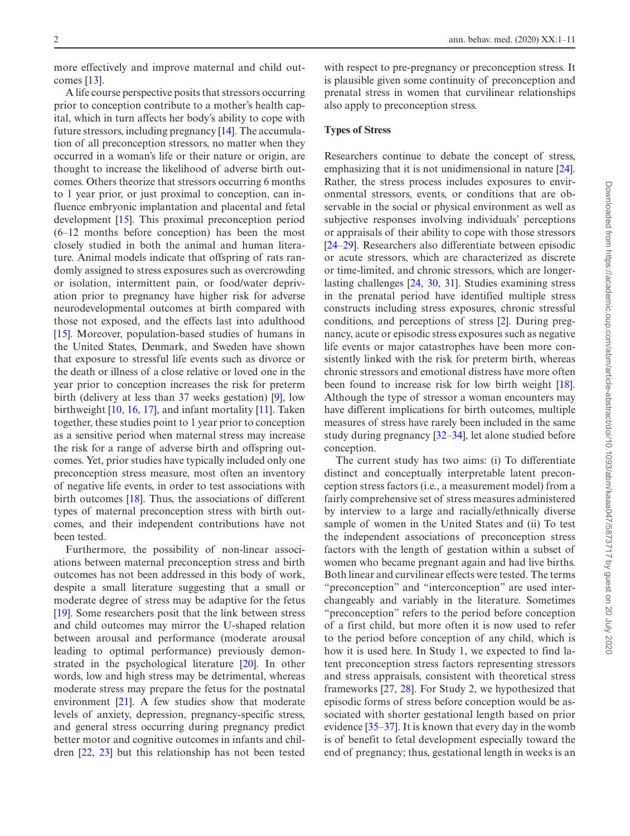more effectively and improve maternal and child outcomes [\[13](#page-9-9)].

A life course perspective posits that stressors occurring prior to conception contribute to a mother's health capital, which in turn affects her body's ability to cope with future stressors, including pregnancy [\[14](#page-9-10)]. The accumulation of all preconception stressors, no matter when they occurred in a woman's life or their nature or origin, are thought to increase the likelihood of adverse birth outcomes. Others theorize that stressors occurring 6 months to 1 year prior, or just proximal to conception, can influence embryonic implantation and placental and fetal development [\[15](#page-9-11)]. This proximal preconception period (6–12 months before conception) has been the most closely studied in both the animal and human literature. Animal models indicate that offspring of rats randomly assigned to stress exposures such as overcrowding or isolation, intermittent pain, or food/water deprivation prior to pregnancy have higher risk for adverse neurodevelopmental outcomes at birth compared with those not exposed, and the effects last into adulthood [[15\]](#page-9-11). Moreover, population-based studies of humans in the United States, Denmark, and Sweden have shown that exposure to stressful life events such as divorce or the death or illness of a close relative or loved one in the year prior to conception increases the risk for preterm birth (delivery at less than 37 weeks gestation) [\[9](#page-9-6)], low birthweight [\[10](#page-9-12), [16](#page-9-13), [17\]](#page-9-14), and infant mortality [[11\]](#page-9-7). Taken together, these studies point to 1 year prior to conception as a sensitive period when maternal stress may increase the risk for a range of adverse birth and offspring outcomes. Yet, prior studies have typically included only one preconception stress measure, most often an inventory of negative life events, in order to test associations with birth outcomes [\[18](#page-9-15)]. Thus, the associations of different types of maternal preconception stress with birth outcomes, and their independent contributions have not been tested.

Furthermore, the possibility of non-linear associations between maternal preconception stress and birth outcomes has not been addressed in this body of work, despite a small literature suggesting that a small or moderate degree of stress may be adaptive for the fetus [[19\]](#page-9-16). Some researchers posit that the link between stress and child outcomes may mirror the U-shaped relation between arousal and performance (moderate arousal leading to optimal performance) previously demonstrated in the psychological literature [\[20](#page-9-17)]. In other words, low and high stress may be detrimental, whereas moderate stress may prepare the fetus for the postnatal environment [\[21](#page-9-18)]. A few studies show that moderate levels of anxiety, depression, pregnancy-specific stress, and general stress occurring during pregnancy predict better motor and cognitive outcomes in infants and children [[22,](#page-9-19) [23\]](#page-9-20) but this relationship has not been tested

with respect to pre-pregnancy or preconception stress. It is plausible given some continuity of preconception and prenatal stress in women that curvilinear relationships also apply to preconception stress.

# **Types of Stress**

Researchers continue to debate the concept of stress, emphasizing that it is not unidimensional in nature [[24\]](#page-9-21). Rather, the stress process includes exposures to environmental stressors, events, or conditions that are observable in the social or physical environment as well as subjective responses involving individuals' perceptions or appraisals of their ability to cope with those stressors [\[24](#page-9-21)[–29](#page-9-22)]. Researchers also differentiate between episodic or acute stressors, which are characterized as discrete or time-limited, and chronic stressors, which are longerlasting challenges [[24,](#page-9-21) [30](#page-9-23), [31](#page-9-24)]. Studies examining stress in the prenatal period have identified multiple stress constructs including stress exposures, chronic stressful conditions, and perceptions of stress [\[2](#page-9-25)]. During pregnancy, acute or episodic stress exposures such as negative life events or major catastrophes have been more consistently linked with the risk for preterm birth, whereas chronic stressors and emotional distress have more often been found to increase risk for low birth weight [[18\]](#page-9-15). Although the type of stressor a woman encounters may have different implications for birth outcomes, multiple measures of stress have rarely been included in the same study during pregnancy [\[32](#page-9-26)[–34](#page-10-0)], let alone studied before conception.

The current study has two aims: (i) To differentiate distinct and conceptually interpretable latent preconception stress factors (i.e., a measurement model) from a fairly comprehensive set of stress measures administered by interview to a large and racially/ethnically diverse sample of women in the United States and (ii) To test the independent associations of preconception stress factors with the length of gestation within a subset of women who became pregnant again and had live births. Both linear and curvilinear effects were tested. The terms "preconception" and "interconception" are used interchangeably and variably in the literature. Sometimes "preconception" refers to the period before conception of a first child, but more often it is now used to refer to the period before conception of any child, which is how it is used here. In Study 1, we expected to find latent preconception stress factors representing stressors and stress appraisals, consistent with theoretical stress frameworks [[27,](#page-9-27) [28\]](#page-9-28). For Study 2, we hypothesized that episodic forms of stress before conception would be associated with shorter gestational length based on prior evidence [\[35](#page-10-1)[–37](#page-10-2)]. It is known that every day in the womb is of benefit to fetal development especially toward the end of pregnancy; thus, gestational length in weeks is an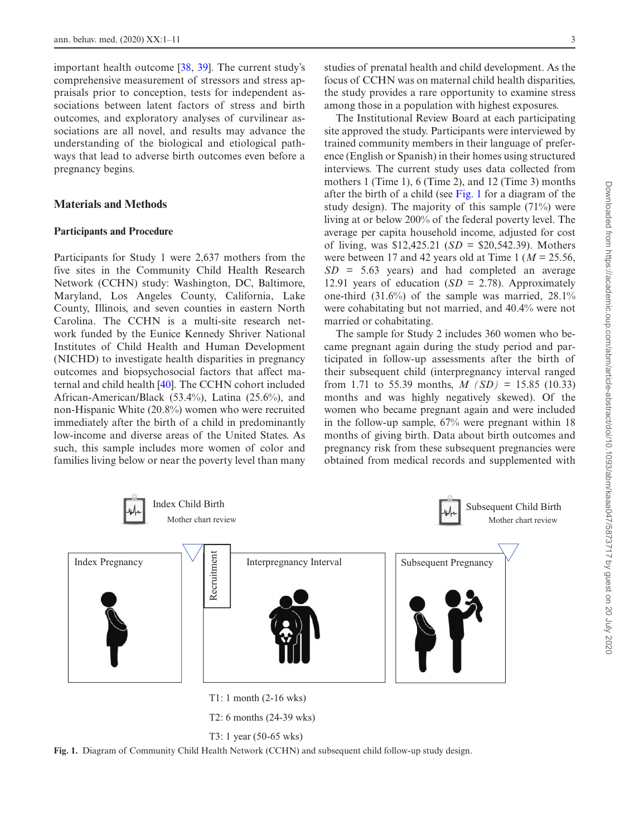important health outcome [[38,](#page-10-3) [39\]](#page-10-4). The current study's comprehensive measurement of stressors and stress appraisals prior to conception, tests for independent associations between latent factors of stress and birth outcomes, and exploratory analyses of curvilinear associations are all novel, and results may advance the understanding of the biological and etiological pathways that lead to adverse birth outcomes even before a pregnancy begins.

# **Materials and Methods**

## **Participants and Procedure**

Participants for Study 1 were 2,637 mothers from the five sites in the Community Child Health Research Network (CCHN) study: Washington, DC, Baltimore, Maryland, Los Angeles County, California, Lake County, Illinois, and seven counties in eastern North Carolina. The CCHN is a multi-site research network funded by the Eunice Kennedy Shriver National Institutes of Child Health and Human Development (NICHD) to investigate health disparities in pregnancy outcomes and biopsychosocial factors that affect maternal and child health [[40\]](#page-10-5). The CCHN cohort included African-American/Black (53.4%), Latina (25.6%), and non-Hispanic White (20.8%) women who were recruited immediately after the birth of a child in predominantly low-income and diverse areas of the United States. As such, this sample includes more women of color and families living below or near the poverty level than many studies of prenatal health and child development. As the focus of CCHN was on maternal child health disparities, the study provides a rare opportunity to examine stress among those in a population with highest exposures.

The Institutional Review Board at each participating site approved the study. Participants were interviewed by trained community members in their language of preference (English or Spanish) in their homes using structured interviews. The current study uses data collected from mothers 1 (Time 1), 6 (Time 2), and 12 (Time 3) months after the birth of a child (see [Fig. 1](#page-2-0) for a diagram of the study design). The majority of this sample (71%) were living at or below 200% of the federal poverty level. The average per capita household income, adjusted for cost of living, was \$12,425.21 (*SD* = \$20,542.39). Mothers were between 17 and 42 years old at Time 1 (*M* = 25.56, *SD* = 5.63 years) and had completed an average 12.91 years of education  $(SD = 2.78)$ . Approximately one-third (31.6%) of the sample was married, 28.1% were cohabitating but not married, and 40.4% were not married or cohabitating.

The sample for Study 2 includes 360 women who became pregnant again during the study period and participated in follow-up assessments after the birth of their subsequent child (interpregnancy interval ranged from 1.71 to 55.39 months,  $M(SD) = 15.85$  (10.33) months and was highly negatively skewed). Of the women who became pregnant again and were included in the follow-up sample, 67% were pregnant within 18 months of giving birth. Data about birth outcomes and pregnancy risk from these subsequent pregnancies were obtained from medical records and supplemented with





<span id="page-2-0"></span>**Fig. 1.** Diagram of Community Child Health Network (CCHN) and subsequent child follow-up study design.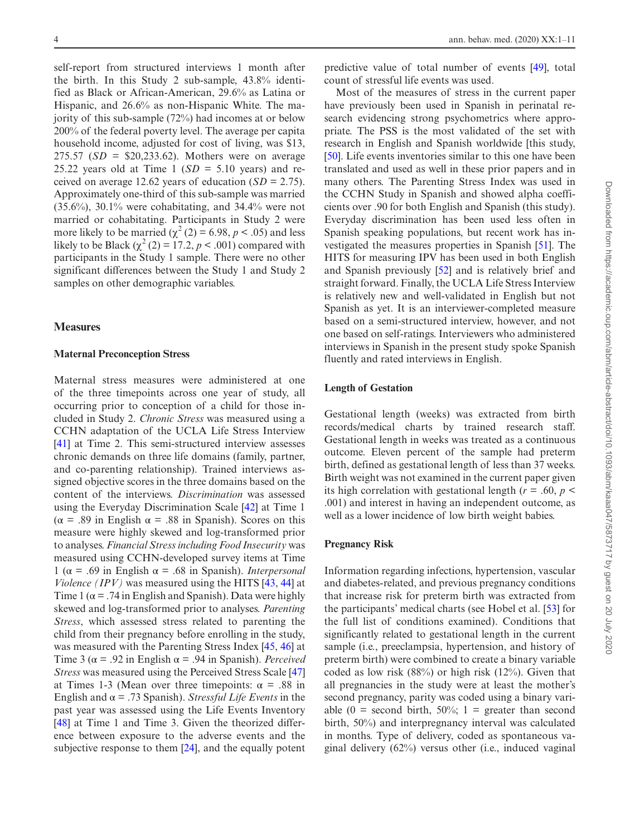self-report from structured interviews 1 month after the birth. In this Study 2 sub-sample, 43.8% identified as Black or African-American, 29.6% as Latina or Hispanic, and 26.6% as non-Hispanic White. The majority of this sub-sample (72%) had incomes at or below 200% of the federal poverty level. The average per capita household income, adjusted for cost of living, was \$13, 275.57 ( $SD = $20,233.62$ ). Mothers were on average 25.22 years old at Time 1  $(SD = 5.10$  years) and received on average 12.62 years of education (*SD* = 2.75). Approximately one-third of this sub-sample was married (35.6%), 30.1% were cohabitating, and 34.4% were not married or cohabitating. Participants in Study 2 were more likely to be married  $(\chi^2(2) = 6.98, p < .05)$  and less likely to be Black  $(\chi^2(2) = 17.2, p < .001)$  compared with participants in the Study 1 sample. There were no other significant differences between the Study 1 and Study 2 samples on other demographic variables.

## **Measures**

## **Maternal Preconception Stress**

Maternal stress measures were administered at one of the three timepoints across one year of study, all occurring prior to conception of a child for those included in Study 2. *Chronic Stress* was measured using a CCHN adaptation of the UCLA Life Stress Interview [[41\]](#page-10-6) at Time 2. This semi-structured interview assesses chronic demands on three life domains (family, partner, and co-parenting relationship). Trained interviews assigned objective scores in the three domains based on the content of the interviews. *Discrimination* was assessed using the Everyday Discrimination Scale [\[42](#page-10-7)] at Time 1 ( $\alpha$  = .89 in English  $\alpha$  = .88 in Spanish). Scores on this measure were highly skewed and log-transformed prior to analyses. *Financial Stress including Food Insecurity* was measured using CCHN-developed survey items at Time 1 (α = .69 in English α = .68 in Spanish). *Interpersonal Violence (IPV)* was measured using the HITS [\[43](#page-10-8), [44](#page-10-9)] at Time 1 ( $\alpha$  = .74 in English and Spanish). Data were highly skewed and log-transformed prior to analyses. *Parenting Stress*, which assessed stress related to parenting the child from their pregnancy before enrolling in the study, was measured with the Parenting Stress Index [\[45](#page-10-10), [46](#page-10-11)] at Time 3 ( $\alpha$  = .92 in English  $\alpha$  = .94 in Spanish). *Perceived Stress* was measured using the Perceived Stress Scale [[47\]](#page-10-12) at Times 1-3 (Mean over three timepoints:  $\alpha$  = .88 in English and  $\alpha$  = .73 Spanish). *Stressful Life Events* in the past year was assessed using the Life Events Inventory [[48\]](#page-10-13) at Time 1 and Time 3. Given the theorized difference between exposure to the adverse events and the subjective response to them [[24\]](#page-9-21), and the equally potent

predictive value of total number of events [\[49](#page-10-14)], total count of stressful life events was used.

Most of the measures of stress in the current paper have previously been used in Spanish in perinatal research evidencing strong psychometrics where appropriate. The PSS is the most validated of the set with research in English and Spanish worldwide [this study, [\[50](#page-10-15)]. Life events inventories similar to this one have been translated and used as well in these prior papers and in many others. The Parenting Stress Index was used in the CCHN Study in Spanish and showed alpha coefficients over .90 for both English and Spanish (this study). Everyday discrimination has been used less often in Spanish speaking populations, but recent work has investigated the measures properties in Spanish [[51\]](#page-10-16). The HITS for measuring IPV has been used in both English and Spanish previously [\[52](#page-10-17)] and is relatively brief and straight forward. Finally, the UCLA Life Stress Interview is relatively new and well-validated in English but not Spanish as yet. It is an interviewer-completed measure based on a semi-structured interview, however, and not one based on self-ratings. Interviewers who administered interviews in Spanish in the present study spoke Spanish fluently and rated interviews in English.

# **Length of Gestation**

Gestational length (weeks) was extracted from birth records/medical charts by trained research staff. Gestational length in weeks was treated as a continuous outcome. Eleven percent of the sample had preterm birth, defined as gestational length of less than 37 weeks. Birth weight was not examined in the current paper given its high correlation with gestational length ( $r = .60$ ,  $p <$ .001) and interest in having an independent outcome, as well as a lower incidence of low birth weight babies.

# **Pregnancy Risk**

Information regarding infections, hypertension, vascular and diabetes-related, and previous pregnancy conditions that increase risk for preterm birth was extracted from the participants' medical charts (see Hobel et al. [[53\]](#page-10-18) for the full list of conditions examined). Conditions that significantly related to gestational length in the current sample (i.e., preeclampsia, hypertension, and history of preterm birth) were combined to create a binary variable coded as low risk (88%) or high risk (12%). Given that all pregnancies in the study were at least the mother's second pregnancy, parity was coded using a binary variable (0 = second birth, 50%; 1 = greater than second birth, 50%) and interpregnancy interval was calculated in months. Type of delivery, coded as spontaneous vaginal delivery (62%) versus other (i.e., induced vaginal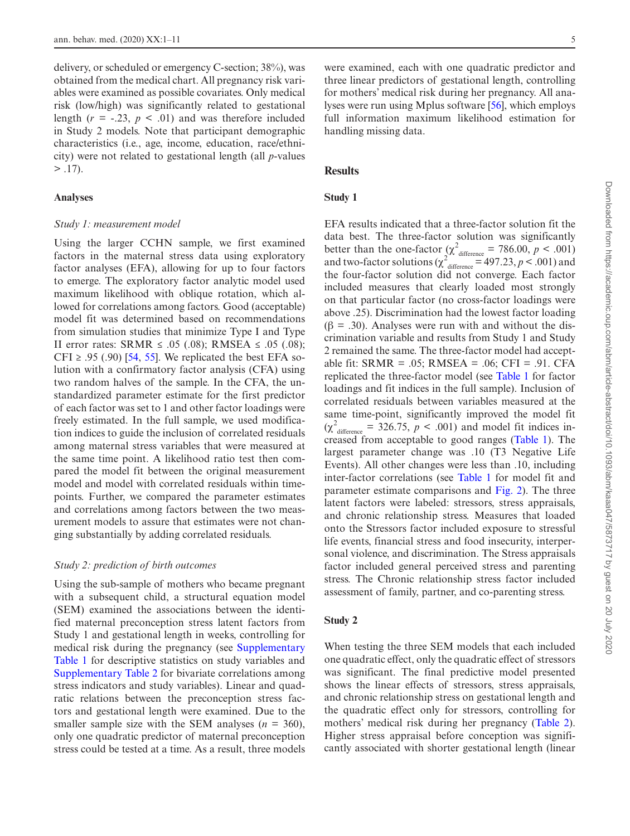delivery, or scheduled or emergency C-section; 38%), was obtained from the medical chart. All pregnancy risk variables were examined as possible covariates. Only medical risk (low/high) was significantly related to gestational length  $(r = -.23, p < .01)$  and was therefore included in Study 2 models. Note that participant demographic characteristics (i.e., age, income, education, race/ethnicity) were not related to gestational length (all *p*-values  $> .17$ ).

#### **Analyses**

#### *Study 1: measurement model*

Using the larger CCHN sample, we first examined factors in the maternal stress data using exploratory factor analyses (EFA), allowing for up to four factors to emerge. The exploratory factor analytic model used maximum likelihood with oblique rotation, which allowed for correlations among factors. Good (acceptable) model fit was determined based on recommendations from simulation studies that minimize Type I and Type II error rates: SRMR ≤ .05 (.08); RMSEA ≤ .05 (.08); CFI  $\ge$  .95 (.90) [[54,](#page-10-19) [55\]](#page-10-20). We replicated the best EFA solution with a confirmatory factor analysis (CFA) using two random halves of the sample. In the CFA, the unstandardized parameter estimate for the first predictor of each factor was set to 1 and other factor loadings were freely estimated. In the full sample, we used modification indices to guide the inclusion of correlated residuals among maternal stress variables that were measured at the same time point. A likelihood ratio test then compared the model fit between the original measurement model and model with correlated residuals within timepoints. Further, we compared the parameter estimates and correlations among factors between the two measurement models to assure that estimates were not changing substantially by adding correlated residuals.

# *Study 2: prediction of birth outcomes*

Using the sub-sample of mothers who became pregnant with a subsequent child, a structural equation model (SEM) examined the associations between the identified maternal preconception stress latent factors from Study 1 and gestational length in weeks, controlling for medical risk during the pregnancy (see **Supplementary** [Table 1](http://academic.oup.com/abm/article-lookup/doi/10.1093/abm/kaaa047#supplementary-data) for descriptive statistics on study variables and [Supplementary Table 2 f](http://academic.oup.com/abm/article-lookup/doi/10.1093/abm/kaaa047#supplementary-data)or bivariate correlations among stress indicators and study variables). Linear and quadratic relations between the preconception stress factors and gestational length were examined. Due to the smaller sample size with the SEM analyses  $(n = 360)$ , only one quadratic predictor of maternal preconception stress could be tested at a time. As a result, three models

were examined, each with one quadratic predictor and three linear predictors of gestational length, controlling for mothers' medical risk during her pregnancy. All analyses were run using Mplus software [\[56](#page-10-21)], which employs full information maximum likelihood estimation for handling missing data.

# **Results**

# **Study 1**

EFA results indicated that a three-factor solution fit the data best. The three-factor solution was significantly better than the one-factor  $(\chi^2)_{\text{difference}} = 786.00, p < .001)$ and two-factor solutions ( $\chi^2$ <sup>2</sup> difference = 497.23, *p* < .001) and the four-factor solution did not converge. Each factor included measures that clearly loaded most strongly on that particular factor (no cross-factor loadings were above .25). Discrimination had the lowest factor loading  $(\beta = .30)$ . Analyses were run with and without the discrimination variable and results from Study 1 and Study 2 remained the same. The three-factor model had acceptable fit: SRMR = .05; RMSEA = .06; CFI = .91. CFA replicated the three-factor model (see [Table 1](#page-5-0) for factor loadings and fit indices in the full sample). Inclusion of correlated residuals between variables measured at the same time-point, significantly improved the model fit  $(\chi^2)$ <sub>difference</sub> = 326.75, *p* < .001) and model fit indices increased from acceptable to good ranges [\(Table 1\)](#page-5-0). The largest parameter change was .10 (T3 Negative Life Events). All other changes were less than .10, including inter-factor correlations (see [Table 1](#page-5-0) for model fit and parameter estimate comparisons and [Fig. 2\)](#page-5-1). The three latent factors were labeled: stressors, stress appraisals, and chronic relationship stress. Measures that loaded onto the Stressors factor included exposure to stressful life events, financial stress and food insecurity, interpersonal violence, and discrimination. The Stress appraisals factor included general perceived stress and parenting stress. The Chronic relationship stress factor included assessment of family, partner, and co-parenting stress.

# **Study 2**

When testing the three SEM models that each included one quadratic effect, only the quadratic effect of stressors was significant. The final predictive model presented shows the linear effects of stressors, stress appraisals, and chronic relationship stress on gestational length and the quadratic effect only for stressors, controlling for mothers' medical risk during her pregnancy [\(Table 2](#page-6-0)). Higher stress appraisal before conception was significantly associated with shorter gestational length (linear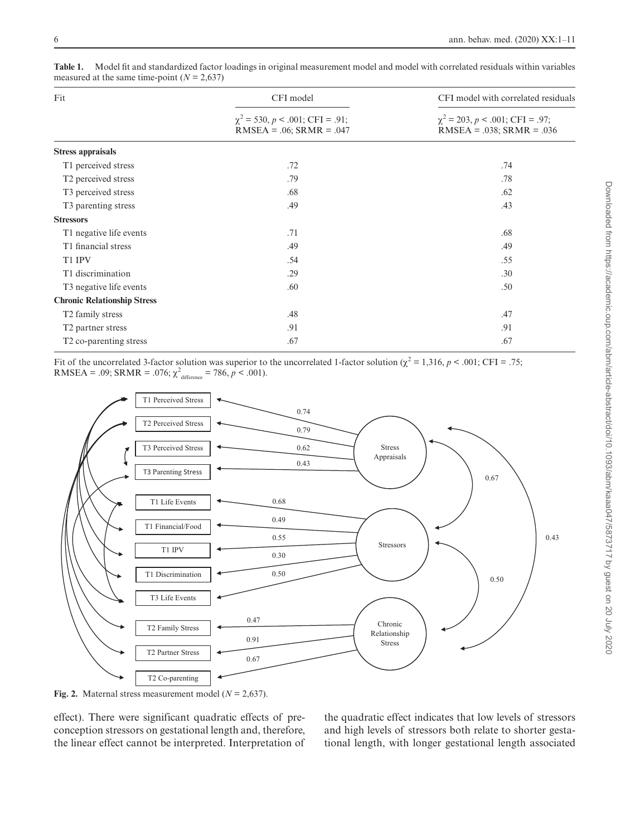| Fit                                 | CFI model<br>$\chi^2$ = 530, p < .001; CFI = .91;<br>$RMSEA = .06; SRMR = .047$ | CFI model with correlated residuals<br>$\chi^2$ = 203, p < .001; CFI = .97;<br>$RMSEA = .038$ ; $SRMR = .036$ |
|-------------------------------------|---------------------------------------------------------------------------------|---------------------------------------------------------------------------------------------------------------|
|                                     |                                                                                 |                                                                                                               |
| T1 perceived stress                 | .72                                                                             | .74                                                                                                           |
| T <sub>2</sub> perceived stress     | .79                                                                             | .78                                                                                                           |
| T <sub>3</sub> perceived stress     | .68                                                                             | .62                                                                                                           |
| T <sub>3</sub> parenting stress     | .49                                                                             | .43                                                                                                           |
| <b>Stressors</b>                    |                                                                                 |                                                                                                               |
| T1 negative life events             | .71                                                                             | .68                                                                                                           |
| T1 financial stress                 | .49                                                                             | .49                                                                                                           |
| T1 IPV                              | .54                                                                             | .55                                                                                                           |
| T1 discrimination                   | .29                                                                             | .30                                                                                                           |
| T <sub>3</sub> negative life events | .60                                                                             | .50                                                                                                           |
| <b>Chronic Relationship Stress</b>  |                                                                                 |                                                                                                               |
| T <sub>2</sub> family stress        | .48                                                                             | .47                                                                                                           |
| T <sub>2</sub> partner stress       | .91                                                                             | .91                                                                                                           |
| T <sub>2</sub> co-parenting stress  | .67                                                                             | .67                                                                                                           |
|                                     |                                                                                 |                                                                                                               |

<span id="page-5-0"></span>**Table 1.**  Model fit and standardized factor loadings in original measurement model and model with correlated residuals within variables measured at the same time-point  $(N = 2,637)$ 

Fit of the uncorrelated 3-factor solution was superior to the uncorrelated 1-factor solution ( $\chi^2 = 1,316$ ,  $p < .001$ ; CFI = .75; RMSEA = .09; SRMR = .076;  $\chi^2$ <sub>difference</sub> = 786,  $p < .001$ ).



<span id="page-5-1"></span>**Fig. 2.** Maternal stress measurement model (*N* = 2,637).

effect). There were significant quadratic effects of preconception stressors on gestational length and, therefore, the linear effect cannot be interpreted. Interpretation of

the quadratic effect indicates that low levels of stressors and high levels of stressors both relate to shorter gestational length, with longer gestational length associated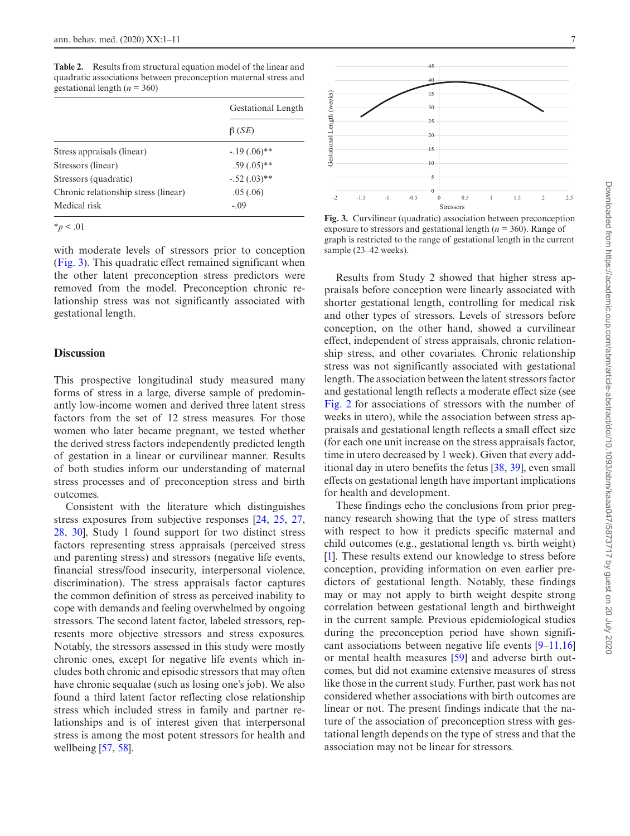<span id="page-6-0"></span>**Table 2.** Results from structural equation model of the linear and quadratic associations between preconception maternal stress and gestational length (*n* = 360)

|                                      | Gestational Length<br>$\beta$ ( <i>SE</i> ) |
|--------------------------------------|---------------------------------------------|
|                                      |                                             |
| Stress appraisals (linear)           | $-19(0.06)$ **                              |
| Stressors (linear)                   | $.59(.05)$ **                               |
| Stressors (quadratic)                | $-.52(.03)$ **                              |
| Chronic relationship stress (linear) | .05(0.06)                                   |
| Medical risk                         | $-.09$                                      |

 $*_{p}$  < .01

with moderate levels of stressors prior to conception [\(Fig. 3](#page-6-1)). This quadratic effect remained significant when the other latent preconception stress predictors were removed from the model. Preconception chronic relationship stress was not significantly associated with gestational length.

# **Discussion**

This prospective longitudinal study measured many forms of stress in a large, diverse sample of predominantly low-income women and derived three latent stress factors from the set of 12 stress measures. For those women who later became pregnant, we tested whether the derived stress factors independently predicted length of gestation in a linear or curvilinear manner. Results of both studies inform our understanding of maternal stress processes and of preconception stress and birth outcomes.

Consistent with the literature which distinguishes stress exposures from subjective responses [\[24](#page-9-21), [25](#page-9-29), [27,](#page-9-27) [28](#page-9-28), [30](#page-9-23)], Study 1 found support for two distinct stress factors representing stress appraisals (perceived stress and parenting stress) and stressors (negative life events, financial stress/food insecurity, interpersonal violence, discrimination). The stress appraisals factor captures the common definition of stress as perceived inability to cope with demands and feeling overwhelmed by ongoing stressors. The second latent factor, labeled stressors, represents more objective stressors and stress exposures. Notably, the stressors assessed in this study were mostly chronic ones, except for negative life events which includes both chronic and episodic stressors that may often have chronic sequalae (such as losing one's job). We also found a third latent factor reflecting close relationship stress which included stress in family and partner relationships and is of interest given that interpersonal stress is among the most potent stressors for health and wellbeing [\[57](#page-10-22), [58](#page-10-23)].



<span id="page-6-1"></span>**Fig. 3.** Curvilinear (quadratic) association between preconception exposure to stressors and gestational length (*n* = 360). Range of graph is restricted to the range of gestational length in the current sample (23–42 weeks).

Results from Study 2 showed that higher stress appraisals before conception were linearly associated with shorter gestational length, controlling for medical risk and other types of stressors. Levels of stressors before conception, on the other hand, showed a curvilinear effect, independent of stress appraisals, chronic relationship stress, and other covariates. Chronic relationship stress was not significantly associated with gestational length. The association between the latent stressors factor and gestational length reflects a moderate effect size (see [Fig. 2](#page-5-1) for associations of stressors with the number of weeks in utero), while the association between stress appraisals and gestational length reflects a small effect size (for each one unit increase on the stress appraisals factor, time in utero decreased by 1 week). Given that every additional day in utero benefits the fetus [[38,](#page-10-3) [39](#page-10-4)], even small effects on gestational length have important implications for health and development.

These findings echo the conclusions from prior pregnancy research showing that the type of stress matters with respect to how it predicts specific maternal and child outcomes (e.g., gestational length vs. birth weight) [\[1](#page-9-0)]. These results extend our knowledge to stress before conception, providing information on even earlier predictors of gestational length. Notably, these findings may or may not apply to birth weight despite strong correlation between gestational length and birthweight in the current sample. Previous epidemiological studies during the preconception period have shown significant associations between negative life events [[9–](#page-9-6)[11,](#page-9-7)[16\]](#page-9-13) or mental health measures [\[59](#page-10-24)] and adverse birth outcomes, but did not examine extensive measures of stress like those in the current study. Further, past work has not considered whether associations with birth outcomes are linear or not. The present findings indicate that the nature of the association of preconception stress with gestational length depends on the type of stress and that the association may not be linear for stressors.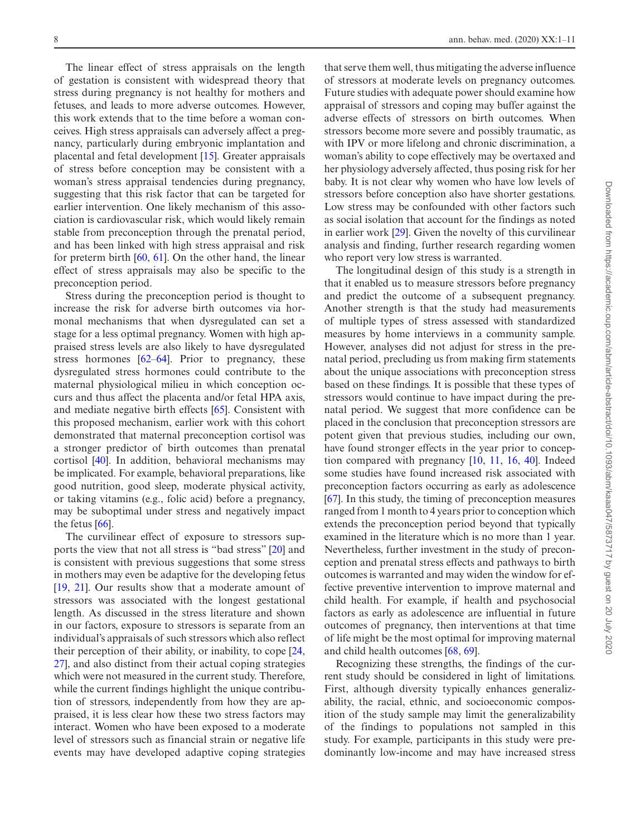The linear effect of stress appraisals on the length of gestation is consistent with widespread theory that stress during pregnancy is not healthy for mothers and fetuses, and leads to more adverse outcomes. However, this work extends that to the time before a woman conceives. High stress appraisals can adversely affect a pregnancy, particularly during embryonic implantation and placental and fetal development [\[15](#page-9-11)]. Greater appraisals of stress before conception may be consistent with a woman's stress appraisal tendencies during pregnancy, suggesting that this risk factor that can be targeted for earlier intervention. One likely mechanism of this association is cardiovascular risk, which would likely remain stable from preconception through the prenatal period, and has been linked with high stress appraisal and risk for preterm birth [\[60](#page-10-25), [61\]](#page-10-26). On the other hand, the linear effect of stress appraisals may also be specific to the preconception period.

Stress during the preconception period is thought to increase the risk for adverse birth outcomes via hormonal mechanisms that when dysregulated can set a stage for a less optimal pregnancy. Women with high appraised stress levels are also likely to have dysregulated stress hormones  $[62-64]$  $[62-64]$ . Prior to pregnancy, these dysregulated stress hormones could contribute to the maternal physiological milieu in which conception occurs and thus affect the placenta and/or fetal HPA axis, and mediate negative birth effects [\[65](#page-10-29)]. Consistent with this proposed mechanism, earlier work with this cohort demonstrated that maternal preconception cortisol was a stronger predictor of birth outcomes than prenatal cortisol [[40\]](#page-10-5). In addition, behavioral mechanisms may be implicated. For example, behavioral preparations, like good nutrition, good sleep, moderate physical activity, or taking vitamins (e.g., folic acid) before a pregnancy, may be suboptimal under stress and negatively impact the fetus  $[66]$  $[66]$ .

The curvilinear effect of exposure to stressors supports the view that not all stress is "bad stress" [[20\]](#page-9-17) and is consistent with previous suggestions that some stress in mothers may even be adaptive for the developing fetus [[19,](#page-9-16) [21](#page-9-18)]. Our results show that a moderate amount of stressors was associated with the longest gestational length. As discussed in the stress literature and shown in our factors, exposure to stressors is separate from an individual's appraisals of such stressors which also reflect their perception of their ability, or inability, to cope [[24,](#page-9-21) [27\]](#page-9-27), and also distinct from their actual coping strategies which were not measured in the current study. Therefore, while the current findings highlight the unique contribution of stressors, independently from how they are appraised, it is less clear how these two stress factors may interact. Women who have been exposed to a moderate level of stressors such as financial strain or negative life events may have developed adaptive coping strategies

that serve them well, thus mitigating the adverse influence of stressors at moderate levels on pregnancy outcomes. Future studies with adequate power should examine how appraisal of stressors and coping may buffer against the adverse effects of stressors on birth outcomes. When stressors become more severe and possibly traumatic, as with IPV or more lifelong and chronic discrimination, a woman's ability to cope effectively may be overtaxed and her physiology adversely affected, thus posing risk for her baby. It is not clear why women who have low levels of stressors before conception also have shorter gestations. Low stress may be confounded with other factors such as social isolation that account for the findings as noted in earlier work [\[29](#page-9-22)]. Given the novelty of this curvilinear analysis and finding, further research regarding women who report very low stress is warranted.

The longitudinal design of this study is a strength in that it enabled us to measure stressors before pregnancy and predict the outcome of a subsequent pregnancy. Another strength is that the study had measurements of multiple types of stress assessed with standardized measures by home interviews in a community sample. However, analyses did not adjust for stress in the prenatal period, precluding us from making firm statements about the unique associations with preconception stress based on these findings. It is possible that these types of stressors would continue to have impact during the prenatal period. We suggest that more confidence can be placed in the conclusion that preconception stressors are potent given that previous studies, including our own, have found stronger effects in the year prior to conception compared with pregnancy [[10,](#page-9-12) [11,](#page-9-7) [16](#page-9-13), [40\]](#page-10-5). Indeed some studies have found increased risk associated with preconception factors occurring as early as adolescence [\[67](#page-10-31)]. In this study, the timing of preconception measures ranged from 1 month to 4 years prior to conception which extends the preconception period beyond that typically examined in the literature which is no more than 1 year. Nevertheless, further investment in the study of preconception and prenatal stress effects and pathways to birth outcomes is warranted and may widen the window for effective preventive intervention to improve maternal and child health. For example, if health and psychosocial factors as early as adolescence are influential in future outcomes of pregnancy, then interventions at that time of life might be the most optimal for improving maternal and child health outcomes [\[68](#page-10-32), [69\]](#page-10-33).

Recognizing these strengths, the findings of the current study should be considered in light of limitations. First, although diversity typically enhances generalizability, the racial, ethnic, and socioeconomic composition of the study sample may limit the generalizability of the findings to populations not sampled in this study. For example, participants in this study were predominantly low-income and may have increased stress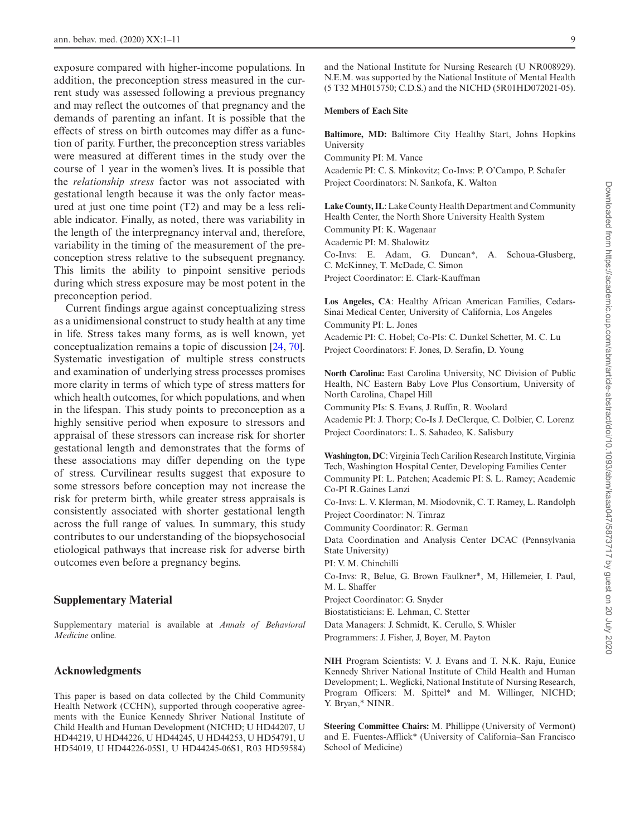exposure compared with higher-income populations. In addition, the preconception stress measured in the current study was assessed following a previous pregnancy and may reflect the outcomes of that pregnancy and the demands of parenting an infant. It is possible that the effects of stress on birth outcomes may differ as a function of parity. Further, the preconception stress variables were measured at different times in the study over the course of 1 year in the women's lives. It is possible that the *relationship stress* factor was not associated with gestational length because it was the only factor measured at just one time point (T2) and may be a less reliable indicator. Finally, as noted, there was variability in the length of the interpregnancy interval and, therefore, variability in the timing of the measurement of the preconception stress relative to the subsequent pregnancy. This limits the ability to pinpoint sensitive periods during which stress exposure may be most potent in the preconception period.

Current findings argue against conceptualizing stress as a unidimensional construct to study health at any time in life. Stress takes many forms, as is well known, yet conceptualization remains a topic of discussion [[24,](#page-9-21) [70](#page-10-34)]. Systematic investigation of multiple stress constructs and examination of underlying stress processes promises more clarity in terms of which type of stress matters for which health outcomes, for which populations, and when in the lifespan. This study points to preconception as a highly sensitive period when exposure to stressors and appraisal of these stressors can increase risk for shorter gestational length and demonstrates that the forms of these associations may differ depending on the type of stress. Curvilinear results suggest that exposure to some stressors before conception may not increase the risk for preterm birth, while greater stress appraisals is consistently associated with shorter gestational length across the full range of values. In summary, this study contributes to our understanding of the biopsychosocial etiological pathways that increase risk for adverse birth outcomes even before a pregnancy begins.

# **Supplementary Material**

Supplementary material is available at *Annals of Behavioral Medicine* online.

# **Acknowledgments**

This paper is based on data collected by the Child Community Health Network (CCHN), supported through cooperative agreements with the Eunice Kennedy Shriver National Institute of Child Health and Human Development (NICHD; U HD44207, U HD44219, U HD44226, U HD44245, U HD44253, U HD54791, U HD54019, U HD44226-05S1, U HD44245-06S1, R03 HD59584) and the National Institute for Nursing Research (U NR008929). N.E.M. was supported by the National Institute of Mental Health (5 T32 MH015750; C.D.S.) and the NICHD (5R01HD072021-05).

#### **Members of Each Site**

**Baltimore, MD:** Baltimore City Healthy Start, Johns Hopkins University

Community PI: M. Vance

Academic PI: C. S. Minkovitz; Co-Invs: P. O'Campo, P. Schafer Project Coordinators: N. Sankofa, K. Walton

**Lake County, IL**: Lake County Health Department and Community Health Center, the North Shore University Health System

Community PI: K. Wagenaar

Academic PI: M. Shalowitz

Co-Invs: E. Adam, G. Duncan\*, A. Schoua-Glusberg, C. McKinney, T. McDade, C. Simon

Project Coordinator: E. Clark-Kauffman

**Los Angeles, CA**: Healthy African American Families, Cedars-Sinai Medical Center, University of California, Los Angeles Community PI: L. Jones

Academic PI: C. Hobel; Co-PIs: C. Dunkel Schetter, M. C. Lu Project Coordinators: F. Jones, D. Serafin, D. Young

**North Carolina:** East Carolina University, NC Division of Public Health, NC Eastern Baby Love Plus Consortium, University of North Carolina, Chapel Hill

Community PIs: S. Evans, J. Ruffin, R. Woolard

Academic PI: J. Thorp; Co-Is J. DeClerque, C. Dolbier, C. Lorenz Project Coordinators: L. S. Sahadeo, K. Salisbury

**Washington, DC**: Virginia Tech Carilion Research Institute, Virginia Tech, Washington Hospital Center, Developing Families Center Community PI: L. Patchen; Academic PI: S. L. Ramey; Academic Co-PI R.Gaines Lanzi

Co-Invs: L. V. Klerman, M. Miodovnik, C. T. Ramey, L. Randolph Project Coordinator: N. Timraz

Community Coordinator: R. German

Data Coordination and Analysis Center DCAC (Pennsylvania State University)

PI: V. M. Chinchilli

Co-Invs: R, Belue, G. Brown Faulkner\*, M, Hillemeier, I. Paul, M. L. Shaffer

Project Coordinator: G. Snyder

Biostatisticians: E. Lehman, C. Stetter

Data Managers: J. Schmidt, K. Cerullo, S. Whisler

Programmers: J. Fisher, J, Boyer, M. Payton

**NIH** Program Scientists: V. J. Evans and T. N.K. Raju, Eunice Kennedy Shriver National Institute of Child Health and Human Development; L. Weglicki, National Institute of Nursing Research, Program Officers: M. Spittel\* and M. Willinger, NICHD; Y. Bryan,\* NINR.

**Steering Committee Chairs:** M. Phillippe (University of Vermont) and E. Fuentes-Afflick\* (University of California–San Francisco School of Medicine)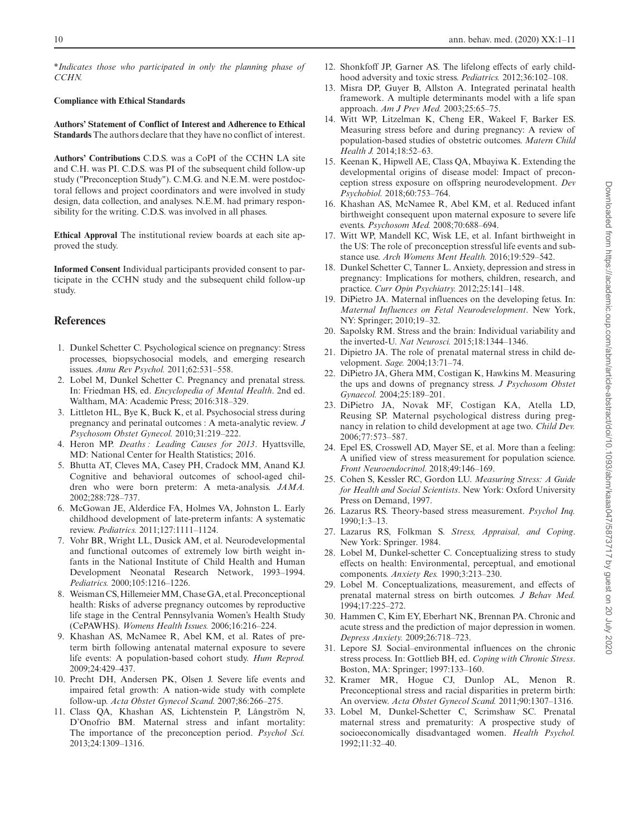\**Indicates those who participated in only the planning phase of CCHN.*

#### **Compliance with Ethical Standards**

**Authors' Statement of Conflict of Interest and Adherence to Ethical Standards** The authors declare that they have no conflict of interest.

**Authors' Contributions** C.D.S. was a CoPI of the CCHN LA site and C.H. was PI. C.D.S. was PI of the subsequent child follow-up study ("Preconception Study"). C.M.G. and N.E.M. were postdoctoral fellows and project coordinators and were involved in study design, data collection, and analyses. N.E.M. had primary responsibility for the writing. C.D.S. was involved in all phases.

**Ethical Approval** The institutional review boards at each site approved the study.

**Informed Consent** Individual participants provided consent to participate in the CCHN study and the subsequent child follow-up study.

# **References**

- <span id="page-9-0"></span>1. Dunkel Schetter C. Psychological science on pregnancy: Stress processes, biopsychosocial models, and emerging research issues. *Annu Rev Psychol.* 2011;62:531–558.
- <span id="page-9-25"></span>2. Lobel M, Dunkel Schetter C. Pregnancy and prenatal stress. In: Friedman HS, ed. *Encyclopedia of Mental Health*. 2nd ed. Waltham, MA: Academic Press; 2016:318–329.
- <span id="page-9-1"></span>3. Littleton HL, Bye K, Buck K, et al. Psychosocial stress during pregnancy and perinatal outcomes : A meta-analytic review. *J Psychosom Obstet Gynecol.* 2010;31:219–222.
- <span id="page-9-2"></span>4. Heron MP. *Deaths : Leading Causes for 2013*. Hyattsville, MD: National Center for Health Statistics; 2016.
- <span id="page-9-3"></span>5. Bhutta AT, Cleves MA, Casey PH, Cradock MM, Anand KJ. Cognitive and behavioral outcomes of school-aged children who were born preterm: A meta-analysis. *JAMA.* 2002;288:728–737.
- 6. McGowan JE, Alderdice FA, Holmes VA, Johnston L. Early childhood development of late-preterm infants: A systematic review. *Pediatrics.* 2011;127:1111–1124.
- <span id="page-9-4"></span>7. Vohr BR, Wright LL, Dusick AM, et al. Neurodevelopmental and functional outcomes of extremely low birth weight infants in the National Institute of Child Health and Human Development Neonatal Research Network, 1993–1994. *Pediatrics.* 2000;105:1216–1226.
- <span id="page-9-5"></span>8. Weisman CS, Hillemeier MM, Chase GA, et al. Preconceptional health: Risks of adverse pregnancy outcomes by reproductive life stage in the Central Pennsylvania Women's Health Study (CePAWHS). *Womens Health Issues.* 2006;16:216–224.
- <span id="page-9-6"></span>9. Khashan AS, McNamee R, Abel KM, et al. Rates of preterm birth following antenatal maternal exposure to severe life events: A population-based cohort study. *Hum Reprod.* 2009;24:429–437.
- <span id="page-9-12"></span>10. Precht DH, Andersen PK, Olsen J. Severe life events and impaired fetal growth: A nation-wide study with complete follow-up. *Acta Obstet Gynecol Scand.* 2007;86:266–275.
- <span id="page-9-7"></span>11. Class QA, Khashan AS, Lichtenstein P, Långström N, D'Onofrio BM. Maternal stress and infant mortality: The importance of the preconception period. *Psychol Sci.* 2013;24:1309–1316.
- <span id="page-9-8"></span>12. Shonkfoff JP, Garner AS. The lifelong effects of early childhood adversity and toxic stress. *Pediatrics.* 2012;36:102–108.
- <span id="page-9-9"></span>13. Misra DP, Guyer B, Allston A. Integrated perinatal health framework. A multiple determinants model with a life span approach. *Am J Prev Med.* 2003;25:65–75.
- <span id="page-9-10"></span>14. Witt WP, Litzelman K, Cheng ER, Wakeel F, Barker ES. Measuring stress before and during pregnancy: A review of population-based studies of obstetric outcomes. *Matern Child Health J.* 2014;18:52–63.
- <span id="page-9-11"></span>15. Keenan K, Hipwell AE, Class QA, Mbayiwa K. Extending the developmental origins of disease model: Impact of preconception stress exposure on offspring neurodevelopment. *Dev Psychobiol.* 2018;60:753–764.
- <span id="page-9-13"></span>16. Khashan AS, McNamee R, Abel KM, et al. Reduced infant birthweight consequent upon maternal exposure to severe life events. *Psychosom Med.* 2008;70:688–694.
- <span id="page-9-14"></span>17. Witt WP, Mandell KC, Wisk LE, et al. Infant birthweight in the US: The role of preconception stressful life events and substance use. *Arch Womens Ment Health.* 2016;19:529–542.
- <span id="page-9-15"></span>18. Dunkel Schetter C, Tanner L. Anxiety, depression and stress in pregnancy: Implications for mothers, children, research, and practice. *Curr Opin Psychiatry.* 2012;25:141–148.
- <span id="page-9-16"></span>19. DiPietro JA. Maternal influences on the developing fetus. In: *Maternal Influences on Fetal Neurodevelopment*. New York, NY: Springer; 2010;19–32.
- <span id="page-9-17"></span>20. Sapolsky RM. Stress and the brain: Individual variability and the inverted-U. *Nat Neurosci.* 2015;18:1344–1346.
- <span id="page-9-18"></span>21. Dipietro JA. The role of prenatal maternal stress in child development. *Sage.* 2004;13:71–74.
- <span id="page-9-19"></span>22. DiPietro JA, Ghera MM, Costigan K, Hawkins M. Measuring the ups and downs of pregnancy stress. *J Psychosom Obstet Gynaecol.* 2004;25:189–201.
- <span id="page-9-20"></span>23. DiPietro JA, Novak MF, Costigan KA, Atella LD, Reusing SP. Maternal psychological distress during pregnancy in relation to child development at age two. *Child Dev.* 2006;77:573–587.
- <span id="page-9-21"></span>24. Epel ES, Crosswell AD, Mayer SE, et al. More than a feeling: A unified view of stress measurement for population science. *Front Neuroendocrinol.* 2018;49:146–169.
- <span id="page-9-29"></span>25. Cohen S, Kessler RC, Gordon LU. *Measuring Stress: A Guide for Health and Social Scientists*. New York: Oxford University Press on Demand, 1997.
- 26. Lazarus RS. Theory-based stress measurement. *Psychol Inq.* 1990;1:3–13.
- <span id="page-9-27"></span>27. Lazarus RS, Folkman S. *Stress, Appraisal, and Coping*. New York: Springer. 1984.
- <span id="page-9-28"></span>28. Lobel M, Dunkel-schetter C. Conceptualizing stress to study effects on health: Environmental, perceptual, and emotional components. *Anxiety Res.* 1990;3:213–230.
- <span id="page-9-22"></span>29. Lobel M. Conceptualizations, measurement, and effects of prenatal maternal stress on birth outcomes. *J Behav Med.* 1994;17:225–272.
- <span id="page-9-23"></span>30. Hammen C, Kim EY, Eberhart NK, Brennan PA. Chronic and acute stress and the prediction of major depression in women. *Depress Anxiety.* 2009;26:718–723.
- <span id="page-9-24"></span>31. Lepore SJ. Social–environmental influences on the chronic stress process. In: Gottlieb BH, ed. *Coping with Chronic Stress*. Boston, MA: Springer; 1997:133–160.
- <span id="page-9-26"></span>32. Kramer MR, Hogue CJ, Dunlop AL, Menon R. Preconceptional stress and racial disparities in preterm birth: An overview. *Acta Obstet Gynecol Scand.* 2011;90:1307–1316.
- 33. Lobel M, Dunkel-Schetter C, Scrimshaw SC. Prenatal maternal stress and prematurity: A prospective study of socioeconomically disadvantaged women. *Health Psychol.* 1992;11:32–40.